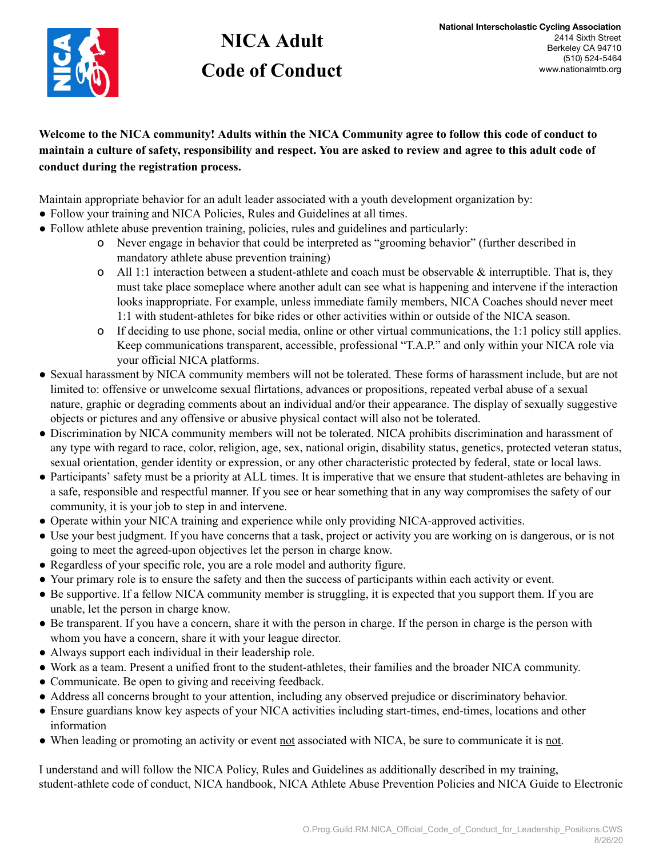

## **NICA Adult Code of Conduct**

## Welcome to the NICA community! Adults within the NICA Community agree to follow this code of conduct to maintain a culture of safety, responsibility and respect. You are asked to review and agree to this adult code of **conduct during the registration process.**

Maintain appropriate behavior for an adult leader associated with a youth development organization by:

- Follow your training and NICA Policies, Rules and Guidelines at all times.
- Follow athlete abuse prevention training, policies, rules and guidelines and particularly:
	- o Never engage in behavior that could be interpreted as "grooming behavior" (further described in mandatory athlete abuse prevention training)
	- o All 1:1 interaction between a student-athlete and coach must be observable  $\&$  interruptible. That is, they must take place someplace where another adult can see what is happening and intervene if the interaction looks inappropriate. For example, unless immediate family members, NICA Coaches should never meet 1:1 with student-athletes for bike rides or other activities within or outside of the NICA season.
	- o If deciding to use phone, social media, online or other virtual communications, the 1:1 policy still applies. Keep communications transparent, accessible, professional "T.A.P." and only within your NICA role via your official NICA platforms.
- Sexual harassment by NICA community members will not be tolerated. These forms of harassment include, but are not limited to: offensive or unwelcome sexual flirtations, advances or propositions, repeated verbal abuse of a sexual nature, graphic or degrading comments about an individual and/or their appearance. The display of sexually suggestive objects or pictures and any offensive or abusive physical contact will also not be tolerated.
- Discrimination by NICA community members will not be tolerated. NICA prohibits discrimination and harassment of any type with regard to race, color, religion, age, sex, national origin, disability status, genetics, protected veteran status, sexual orientation, gender identity or expression, or any other characteristic protected by federal, state or local laws.
- Participants' safety must be a priority at ALL times. It is imperative that we ensure that student-athletes are behaving in a safe, responsible and respectful manner. If you see or hear something that in any way compromises the safety of our community, it is your job to step in and intervene.
- Operate within your NICA training and experience while only providing NICA-approved activities.
- Use your best judgment. If you have concerns that a task, project or activity you are working on is dangerous, or is not going to meet the agreed-upon objectives let the person in charge know.
- Regardless of your specific role, you are a role model and authority figure.
- Your primary role is to ensure the safety and then the success of participants within each activity or event.
- Be supportive. If a fellow NICA community member is struggling, it is expected that you support them. If you are unable, let the person in charge know.
- Be transparent. If you have a concern, share it with the person in charge. If the person in charge is the person with whom you have a concern, share it with your league director.
- Always support each individual in their leadership role.
- Work as a team. Present a unified front to the student-athletes, their families and the broader NICA community.
- Communicate. Be open to giving and receiving feedback.
- Address all concerns brought to your attention, including any observed prejudice or discriminatory behavior.
- Ensure guardians know key aspects of your NICA activities including start-times, end-times, locations and other information
- When leading or promoting an activity or event not associated with NICA, be sure to communicate it is not.

I understand and will follow the NICA Policy, Rules and Guidelines as additionally described in my training, student-athlete code of conduct, NICA handbook, NICA Athlete Abuse Prevention Policies and NICA Guide to Electronic